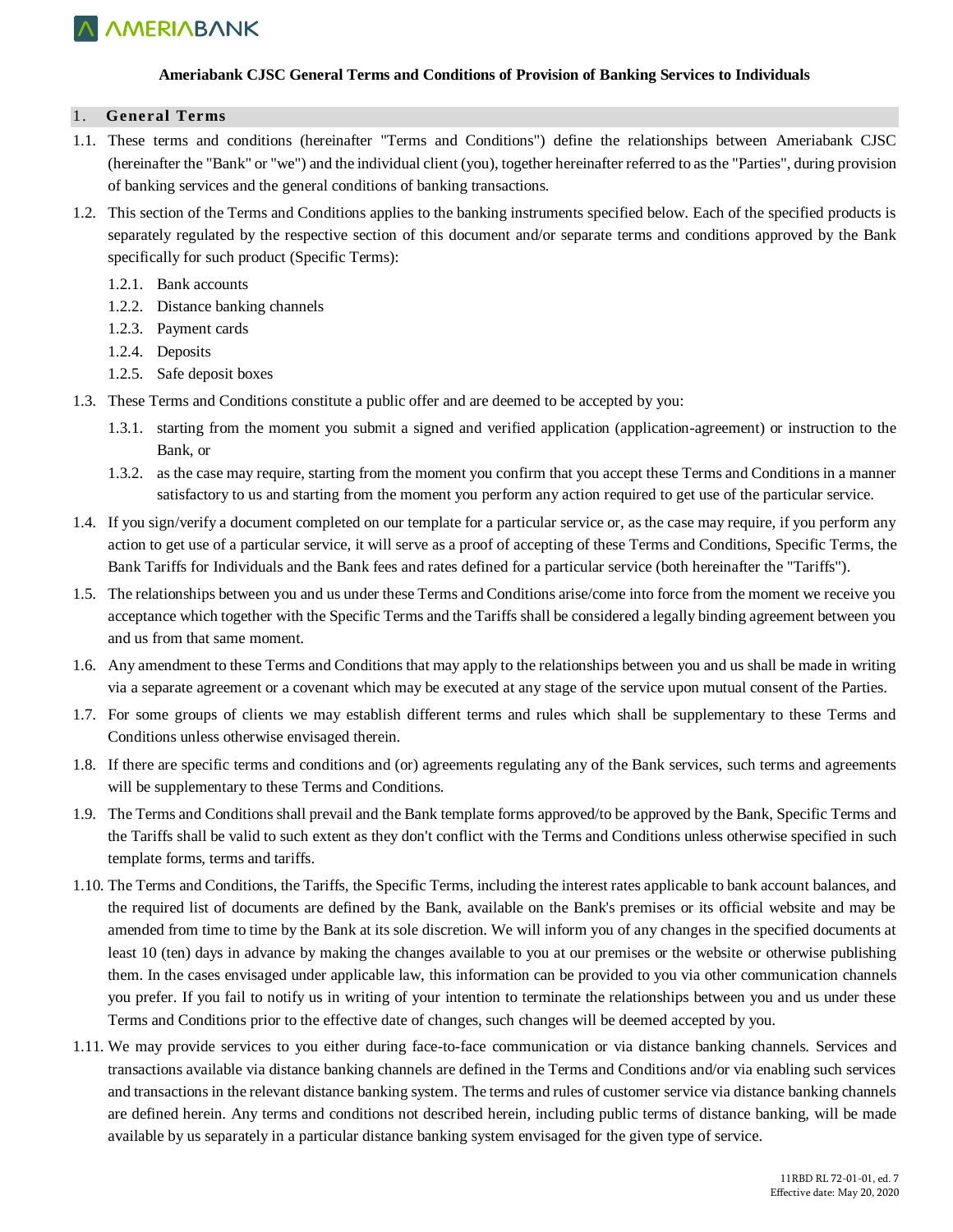

#### **Ameriabank CJSC General Terms and Conditions of Provision of Banking Services to Individuals**

#### 1. **General Terms**

- 1.1. These terms and conditions (hereinafter "Terms and Conditions") define the relationships between Ameriabank CJSC (hereinafter the "Bank" or "we") and the individual client (you), together hereinafter referred to as the "Parties", during provision of banking services and the general conditions of banking transactions.
- 1.2. This section of the Terms and Conditions applies to the banking instruments specified below. Each of the specified products is separately regulated by the respective section of this document and/or separate terms and conditions approved by the Bank specifically for such product (Specific Terms):
	- 1.2.1. Bank accounts
	- 1.2.2. Distance banking channels
	- 1.2.3. Payment cards
	- 1.2.4. Deposits
	- 1.2.5. Safe deposit boxes
- 1.3. These Terms and Conditions constitute a public offer and are deemed to be accepted by you:
	- 1.3.1. starting from the moment you submit a signed and verified application (application-agreement) or instruction to the Bank, or
	- 1.3.2. as the case may require, starting from the moment you confirm that you accept these Terms and Conditions in a manner satisfactory to us and starting from the moment you perform any action required to get use of the particular service.
- 1.4. If you sign/verify a document completed on our template for a particular service or, as the case may require, if you perform any action to get use of a particular service, it will serve as a proof of accepting of these Terms and Conditions, Specific Terms, the Bank Tariffs for Individuals and the Bank fees and rates defined for a particular service (both hereinafter the "Tariffs").
- 1.5. The relationships between you and us under these Terms and Conditions arise/come into force from the moment we receive you acceptance which together with the Specific Terms and the Tariffs shall be considered a legally binding agreement between you and us from that same moment.
- 1.6. Any amendment to these Terms and Conditions that may apply to the relationships between you and us shall be made in writing via a separate agreement or a covenant which may be executed at any stage of the service upon mutual consent of the Parties.
- 1.7. For some groups of clients we may establish different terms and rules which shall be supplementary to these Terms and Conditions unless otherwise envisaged therein.
- 1.8. If there are specific terms and conditions and (or) agreements regulating any of the Bank services, such terms and agreements will be supplementary to these Terms and Conditions.
- 1.9. The Terms and Conditions shall prevail and the Bank template forms approved/to be approved by the Bank, Specific Terms and the Tariffs shall be valid to such extent as they don't conflict with the Terms and Conditions unless otherwise specified in such template forms, terms and tariffs.
- 1.10. The Terms and Conditions, the Tariffs, the Specific Terms, including the interest rates applicable to bank account balances, and the required list of documents are defined by the Bank, available on the Bank's premises or its official website and may be amended from time to time by the Bank at its sole discretion. We will inform you of any changes in the specified documents at least 10 (ten) days in advance by making the changes available to you at our premises or the website or otherwise publishing them. In the cases envisaged under applicable law, this information can be provided to you via other communication channels you prefer. If you fail to notify us in writing of your intention to terminate the relationships between you and us under these Terms and Conditions prior to the effective date of changes, such changes will be deemed accepted by you.
- 1.11. We may provide services to you either during face-to-face communication or via distance banking channels. Services and transactions available via distance banking channels are defined in the Terms and Conditions and/or via enabling such services and transactions in the relevant distance banking system. The terms and rules of customer service via distance banking channels are defined herein. Any terms and conditions not described herein, including public terms of distance banking, will be made available by us separately in a particular distance banking system envisaged for the given type of service.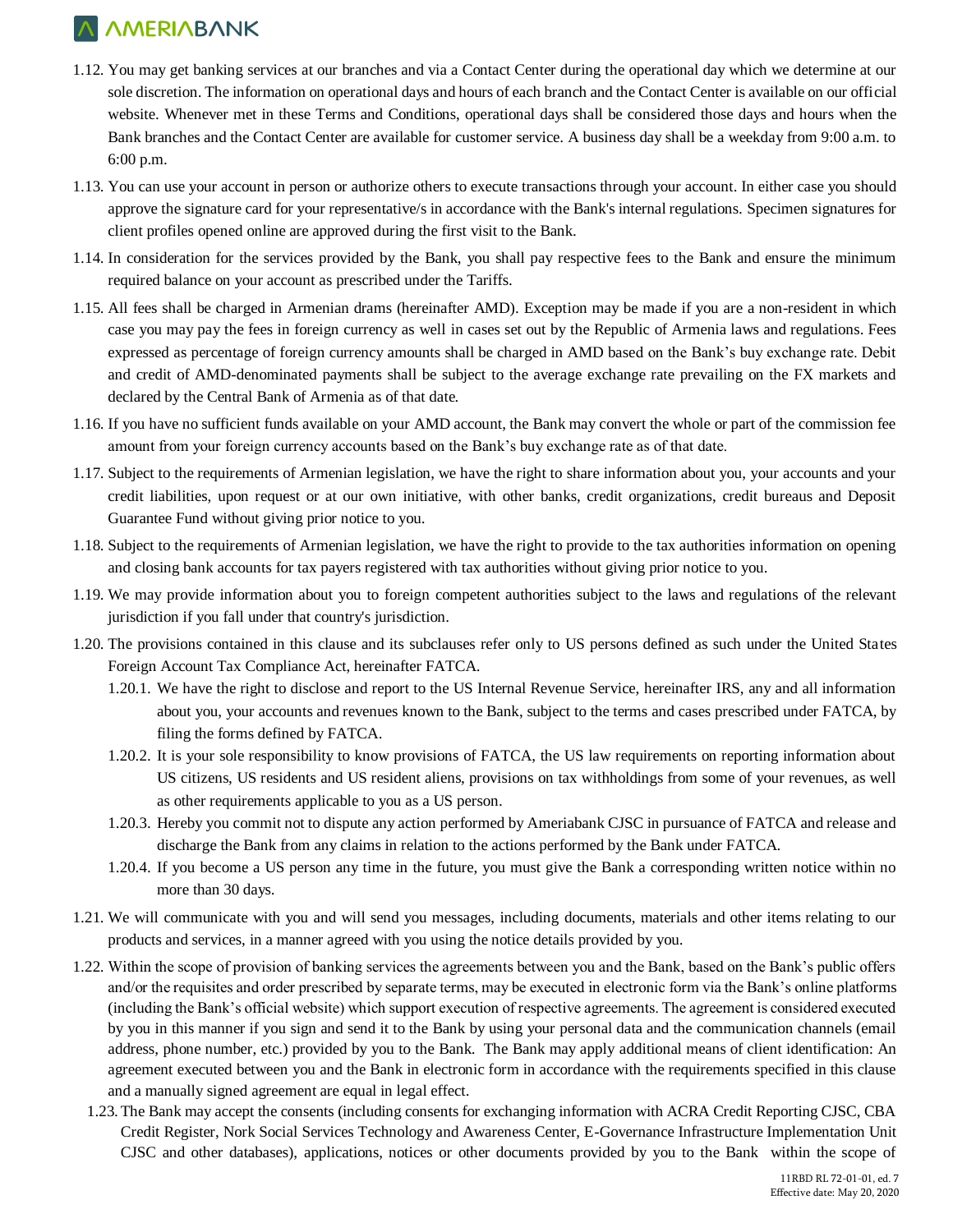- 1.12. You may get banking services at our branches and via a Contact Center during the operational day which we determine at our sole discretion. The information on operational days and hours of each branch and the Contact Center is available on our official website. Whenever met in these Terms and Conditions, operational days shall be considered those days and hours when the Bank branches and the Contact Center are available for customer service. A business day shall be a weekday from 9:00 a.m. to 6:00 p.m.
- 1.13. You can use your account in person or authorize others to execute transactions through your account. In either case you should approve the signature card for your representative/s in accordance with the Bank's internal regulations. Specimen signatures for client profiles opened online are approved during the first visit to the Bank.
- 1.14. In consideration for the services provided by the Bank, you shall pay respective fees to the Bank and ensure the minimum required balance on your account as prescribed under the Tariffs.
- 1.15. All fees shall be charged in Armenian drams (hereinafter AMD). Exception may be made if you are a non-resident in which case you may pay the fees in foreign currency as well in cases set out by the Republic of Armenia laws and regulations. Fees expressed as percentage of foreign currency amounts shall be charged in AMD based on the Bank's buy exchange rate. Debit and credit of AMD-denominated payments shall be subject to the average exchange rate prevailing on the FX markets and declared by the Central Bank of Armenia as of that date.
- 1.16. If you have no sufficient funds available on your AMD account, the Bank may convert the whole or part of the commission fee amount from your foreign currency accounts based on the Bank's buy exchange rate as of that date.
- 1.17. Subject to the requirements of Armenian legislation, we have the right to share information about you, your accounts and your credit liabilities, upon request or at our own initiative, with other banks, credit organizations, credit bureaus and Deposit Guarantee Fund without giving prior notice to you.
- 1.18. Subject to the requirements of Armenian legislation, we have the right to provide to the tax authorities information on opening and closing bank accounts for tax payers registered with tax authorities without giving prior notice to you.
- 1.19. We may provide information about you to foreign competent authorities subject to the laws and regulations of the relevant jurisdiction if you fall under that country's jurisdiction.
- 1.20. The provisions contained in this clause and its subclauses refer only to US persons defined as such under the United States Foreign Account Tax Compliance Act, hereinafter FATCA.
	- 1.20.1. We have the right to disclose and report to the US Internal Revenue Service, hereinafter IRS, any and all information about you, your accounts and revenues known to the Bank, subject to the terms and cases prescribed under FATCA, by filing the forms defined by FATCA.
	- 1.20.2. It is your sole responsibility to know provisions of FATCA, the US law requirements on reporting information about US citizens, US residents and US resident aliens, provisions on tax withholdings from some of your revenues, as well as other requirements applicable to you as a US person.
	- 1.20.3. Hereby you commit not to dispute any action performed by Ameriabank CJSC in pursuance of FATCA and release and discharge the Bank from any claims in relation to the actions performed by the Bank under FATCA.
	- 1.20.4. If you become a US person any time in the future, you must give the Bank a corresponding written notice within no more than 30 days.
- 1.21. We will communicate with you and will send you messages, including documents, materials and other items relating to our products and services, in a manner agreed with you using the notice details provided by you.
- 1.22. Within the scope of provision of banking services the agreements between you and the Bank, based on the Bank's public offers and/or the requisites and order prescribed by separate terms, may be executed in electronic form via the Bank's online platforms (including the Bank's official website) which support execution of respective agreements. The agreement is considered executed by you in this manner if you sign and send it to the Bank by using your personal data and the communication channels (email address, phone number, etc.) provided by you to the Bank. The Bank may apply additional means of client identification: An agreement executed between you and the Bank in electronic form in accordance with the requirements specified in this clause and a manually signed agreement are equal in legal effect.
	- 1.23. The Bank may accept the consents (including consents for exchanging information with ACRA Credit Reporting CJSC, CBA Credit Register, Nork Social Services Technology and Awareness Center, E-Governance Infrastructure Implementation Unit CJSC and other databases), applications, notices or other documents provided by you to the Bank within the scope of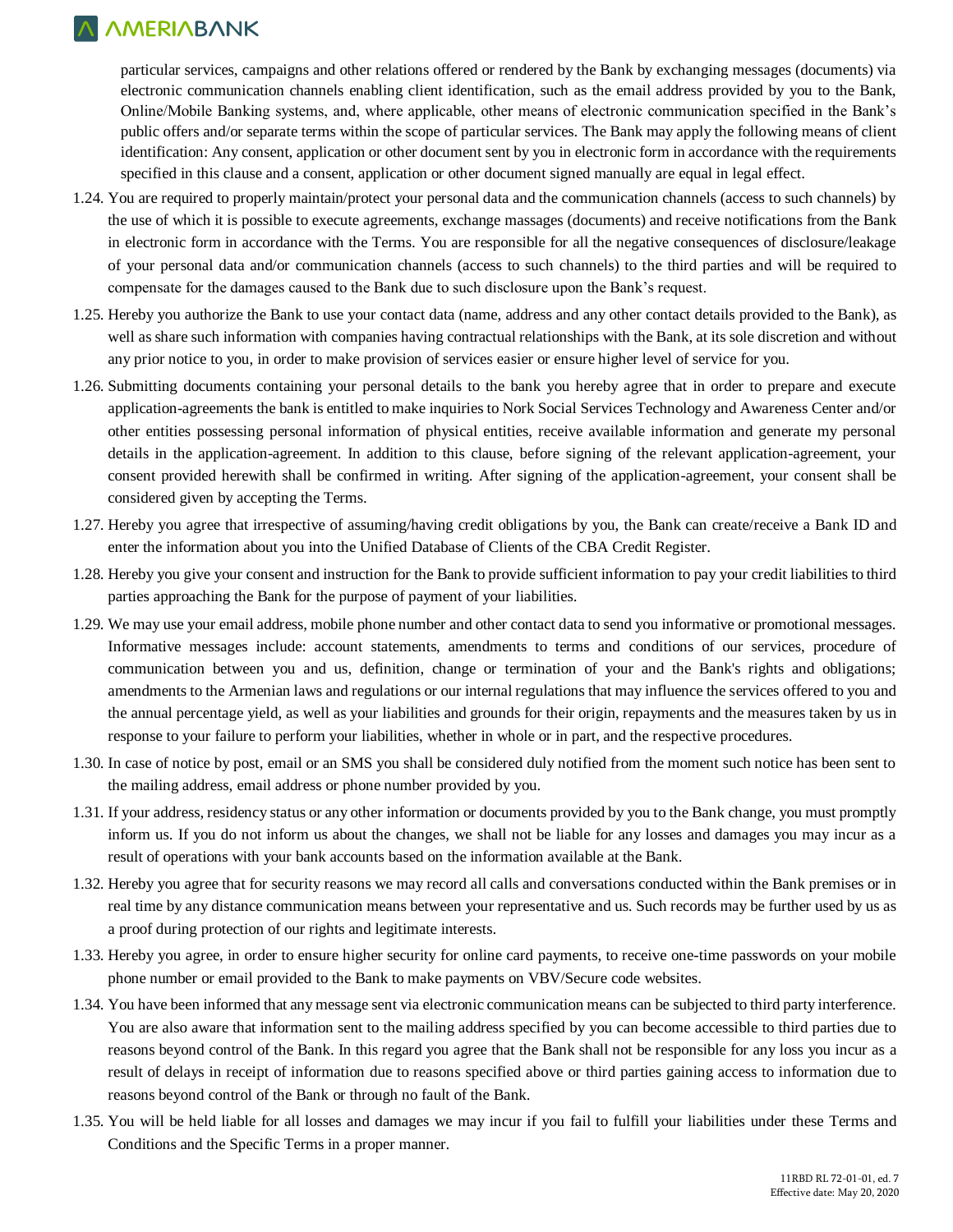particular services, campaigns and other relations offered or rendered by the Bank by exchanging messages (documents) via electronic communication channels enabling client identification, such as the email address provided by you to the Bank, Online/Mobile Banking systems, and, where applicable, other means of electronic communication specified in the Bank's public offers and/or separate terms within the scope of particular services. The Bank may apply the following means of client identification: Any consent, application or other document sent by you in electronic form in accordance with the requirements specified in this clause and a consent, application or other document signed manually are equal in legal effect.

- 1.24. You are required to properly maintain/protect your personal data and the communication channels (access to such channels) by the use of which it is possible to execute agreements, exchange massages (documents) and receive notifications from the Bank in electronic form in accordance with the Terms. You are responsible for all the negative consequences of disclosure/leakage of your personal data and/or communication channels (access to such channels) to the third parties and will be required to compensate for the damages caused to the Bank due to such disclosure upon the Bank's request.
- 1.25. Hereby you authorize the Bank to use your contact data (name, address and any other contact details provided to the Bank), as well as share such information with companies having contractual relationships with the Bank, at its sole discretion and without any prior notice to you, in order to make provision of services easier or ensure higher level of service for you.
- 1.26. Submitting documents containing your personal details to the bank you hereby agree that in order to prepare and execute application-agreements the bank is entitled to make inquiries to Nork Social Services Technology and Awareness Center and/or other entities possessing personal information of physical entities, receive available information and generate my personal details in the application-agreement. In addition to this clause, before signing of the relevant application-agreement, your consent provided herewith shall be confirmed in writing. After signing of the application-agreement, your consent shall be considered given by accepting the Terms.
- 1.27. Hereby you agree that irrespective of assuming/having credit obligations by you, the Bank can create/receive a Bank ID and enter the information about you into the Unified Database of Clients of the CBA Credit Register.
- 1.28. Hereby you give your consent and instruction for the Bank to provide sufficient information to pay your credit liabilities to third parties approaching the Bank for the purpose of payment of your liabilities.
- 1.29. We may use your email address, mobile phone number and other contact data to send you informative or promotional messages. Informative messages include: account statements, amendments to terms and conditions of our services, procedure of communication between you and us, definition, change or termination of your and the Bank's rights and obligations; amendments to the Armenian laws and regulations or our internal regulations that may influence the services offered to you and the annual percentage yield, as well as your liabilities and grounds for their origin, repayments and the measures taken by us in response to your failure to perform your liabilities, whether in whole or in part, and the respective procedures.
- 1.30. In case of notice by post, email or an SMS you shall be considered duly notified from the moment such notice has been sent to the mailing address, email address or phone number provided by you.
- 1.31. If your address, residency status or any other information or documents provided by you to the Bank change, you must promptly inform us. If you do not inform us about the changes, we shall not be liable for any losses and damages you may incur as a result of operations with your bank accounts based on the information available at the Bank.
- 1.32. Hereby you agree that for security reasons we may record all calls and conversations conducted within the Bank premises or in real time by any distance communication means between your representative and us. Such records may be further used by us as a proof during protection of our rights and legitimate interests.
- 1.33. Hereby you agree, in order to ensure higher security for online card payments, to receive one-time passwords on your mobile phone number or email provided to the Bank to make payments on VBV/Secure code websites.
- 1.34. You have been informed that any message sent via electronic communication means can be subjected to third party interference. You are also aware that information sent to the mailing address specified by you can become accessible to third parties due to reasons beyond control of the Bank. In this regard you agree that the Bank shall not be responsible for any loss you incur as a result of delays in receipt of information due to reasons specified above or third parties gaining access to information due to reasons beyond control of the Bank or through no fault of the Bank.
- 1.35. You will be held liable for all losses and damages we may incur if you fail to fulfill your liabilities under these Terms and Conditions and the Specific Terms in a proper manner.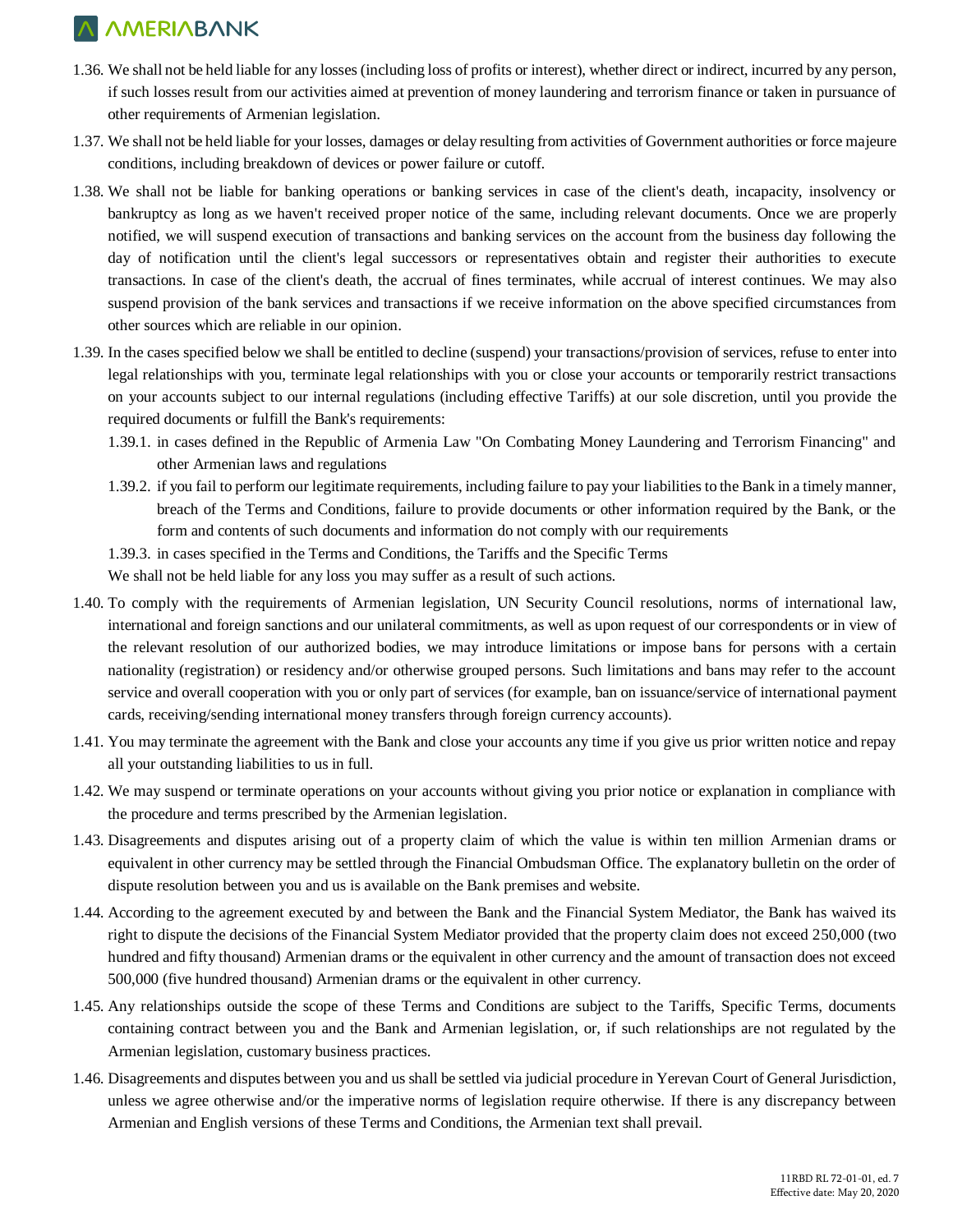- 1.36. We shall not be held liable for any losses (including loss of profits or interest), whether direct or indirect, incurred by any person, if such losses result from our activities aimed at prevention of money laundering and terrorism finance or taken in pursuance of other requirements of Armenian legislation.
- 1.37. We shall not be held liable for your losses, damages or delay resulting from activities of Government authorities or force majeure conditions, including breakdown of devices or power failure or cutoff.
- 1.38. We shall not be liable for banking operations or banking services in case of the client's death, incapacity, insolvency or bankruptcy as long as we haven't received proper notice of the same, including relevant documents. Once we are properly notified, we will suspend execution of transactions and banking services on the account from the business day following the day of notification until the client's legal successors or representatives obtain and register their authorities to execute transactions. In case of the client's death, the accrual of fines terminates, while accrual of interest continues. We may also suspend provision of the bank services and transactions if we receive information on the above specified circumstances from other sources which are reliable in our opinion.
- 1.39. In the cases specified below we shall be entitled to decline (suspend) your transactions/provision of services, refuse to enter into legal relationships with you, terminate legal relationships with you or close your accounts or temporarily restrict transactions on your accounts subject to our internal regulations (including effective Tariffs) at our sole discretion, until you provide the required documents or fulfill the Bank's requirements:
	- 1.39.1. in cases defined in the Republic of Armenia Law "On Combating Money Laundering and Terrorism Financing" and other Armenian laws and regulations
	- 1.39.2. if you fail to perform our legitimate requirements, including failure to pay your liabilities to the Bank in a timely manner, breach of the Terms and Conditions, failure to provide documents or other information required by the Bank, or the form and contents of such documents and information do not comply with our requirements
	- 1.39.3. in cases specified in the Terms and Conditions, the Tariffs and the Specific Terms

We shall not be held liable for any loss you may suffer as a result of such actions.

- 1.40. To comply with the requirements of Armenian legislation, UN Security Council resolutions, norms of international law, international and foreign sanctions and our unilateral commitments, as well as upon request of our correspondents or in view of the relevant resolution of our authorized bodies, we may introduce limitations or impose bans for persons with a certain nationality (registration) or residency and/or otherwise grouped persons. Such limitations and bans may refer to the account service and overall cooperation with you or only part of services (for example, ban on issuance/service of international payment cards, receiving/sending international money transfers through foreign currency accounts).
- 1.41. You may terminate the agreement with the Bank and close your accounts any time if you give us prior written notice and repay all your outstanding liabilities to us in full.
- 1.42. We may suspend or terminate operations on your accounts without giving you prior notice or explanation in compliance with the procedure and terms prescribed by the Armenian legislation.
- 1.43. Disagreements and disputes arising out of a property claim of which the value is within ten million Armenian drams or equivalent in other currency may be settled through the Financial Ombudsman Office. The explanatory bulletin on the order of dispute resolution between you and us is available on the Bank premises and website.
- 1.44. According to the agreement executed by and between the Bank and the Financial System Mediator, the Bank has waived its right to dispute the decisions of the Financial System Mediator provided that the property claim does not exceed 250,000 (two hundred and fifty thousand) Armenian drams or the equivalent in other currency and the amount of transaction does not exceed 500,000 (five hundred thousand) Armenian drams or the equivalent in other currency.
- 1.45. Any relationships outside the scope of these Terms and Conditions are subject to the Tariffs, Specific Terms, documents containing contract between you and the Bank and Armenian legislation, or, if such relationships are not regulated by the Armenian legislation, customary business practices.
- 1.46. Disagreements and disputes between you and us shall be settled via judicial procedure in Yerevan Court of General Jurisdiction, unless we agree otherwise and/or the imperative norms of legislation require otherwise. If there is any discrepancy between Armenian and English versions of these Terms and Conditions, the Armenian text shall prevail.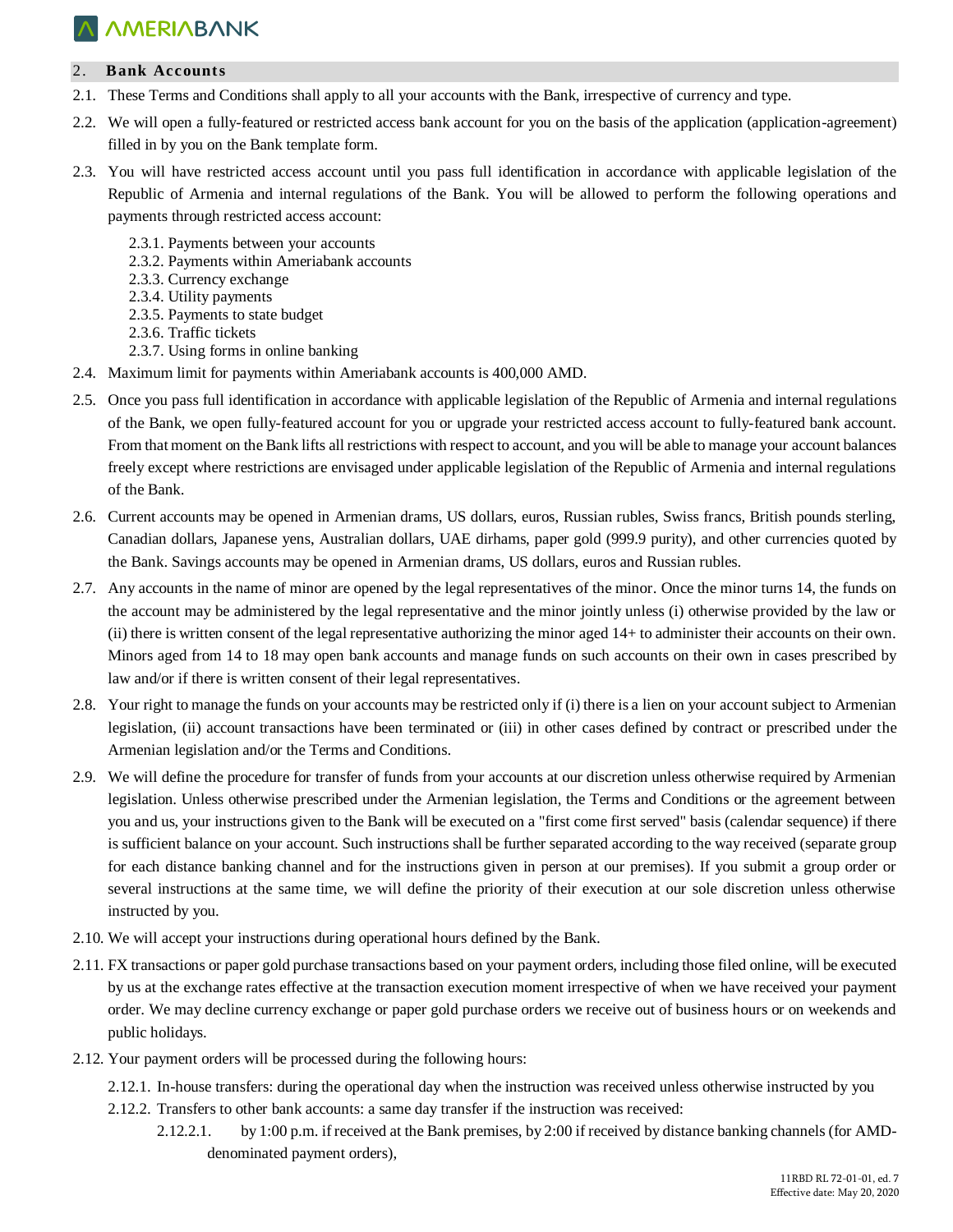#### 2. **Bank Accounts**

- 2.1. These Terms and Conditions shall apply to all your accounts with the Bank, irrespective of currency and type.
- 2.2. We will open a fully-featured or restricted access bank account for you on the basis of the application (application-agreement) filled in by you on the Bank template form.
- 2.3. You will have restricted access account until you pass full identification in accordance with applicable legislation of the Republic of Armenia and internal regulations of the Bank. You will be allowed to perform the following operations and payments through restricted access account:
	- 2.3.1. Payments between your accounts
	- 2.3.2. Payments within Ameriabank accounts
	- 2.3.3. Currency exchange
	- 2.3.4. Utility payments
	- 2.3.5. Payments to state budget
	- 2.3.6. Traffic tickets
	- 2.3.7. Using forms in online banking
- 2.4. Maximum limit for payments within Ameriabank accounts is 400,000 AMD.
- 2.5. Once you pass full identification in accordance with applicable legislation of the Republic of Armenia and internal regulations of the Bank, we open fully-featured account for you or upgrade your restricted access account to fully-featured bank account. From that moment on the Bank lifts all restrictions with respect to account, and you will be able to manage your account balances freely except where restrictions are envisaged under applicable legislation of the Republic of Armenia and internal regulations of the Bank.
- 2.6. Current accounts may be opened in Armenian drams, US dollars, euros, Russian rubles, Swiss francs, British pounds sterling, Canadian dollars, Japanese yens, Australian dollars, UAE dirhams, paper gold (999.9 purity), and other currencies quoted by the Bank. Savings accounts may be opened in Armenian drams, US dollars, euros and Russian rubles.
- 2.7. Any accounts in the name of minor are opened by the legal representatives of the minor. Once the minor turns 14, the funds on the account may be administered by the legal representative and the minor jointly unless (i) otherwise provided by the law or (ii) there is written consent of the legal representative authorizing the minor aged 14+ to administer their accounts on their own. Minors aged from 14 to 18 may open bank accounts and manage funds on such accounts on their own in cases prescribed by law and/or if there is written consent of their legal representatives.
- 2.8. Your right to manage the funds on your accounts may be restricted only if (i) there is a lien on your account subject to Armenian legislation, (ii) account transactions have been terminated or (iii) in other cases defined by contract or prescribed under the Armenian legislation and/or the Terms and Conditions.
- 2.9. We will define the procedure for transfer of funds from your accounts at our discretion unless otherwise required by Armenian legislation. Unless otherwise prescribed under the Armenian legislation, the Terms and Conditions or the agreement between you and us, your instructions given to the Bank will be executed on a "first come first served" basis (calendar sequence) if there is sufficient balance on your account. Such instructions shall be further separated according to the way received (separate group for each distance banking channel and for the instructions given in person at our premises). If you submit a group order or several instructions at the same time, we will define the priority of their execution at our sole discretion unless otherwise instructed by you.
- 2.10. We will accept your instructions during operational hours defined by the Bank.
- 2.11. FX transactions or paper gold purchase transactions based on your payment orders, including those filed online, will be executed by us at the exchange rates effective at the transaction execution moment irrespective of when we have received your payment order. We may decline currency exchange or paper gold purchase orders we receive out of business hours or on weekends and public holidays.
- 2.12. Your payment orders will be processed during the following hours:
	- 2.12.1. In-house transfers: during the operational day when the instruction was received unless otherwise instructed by you
	- 2.12.2. Transfers to other bank accounts: a same day transfer if the instruction was received:
		- 2.12.2.1. by 1:00 p.m. if received at the Bank premises, by 2:00 if received by distance banking channels (for AMDdenominated payment orders),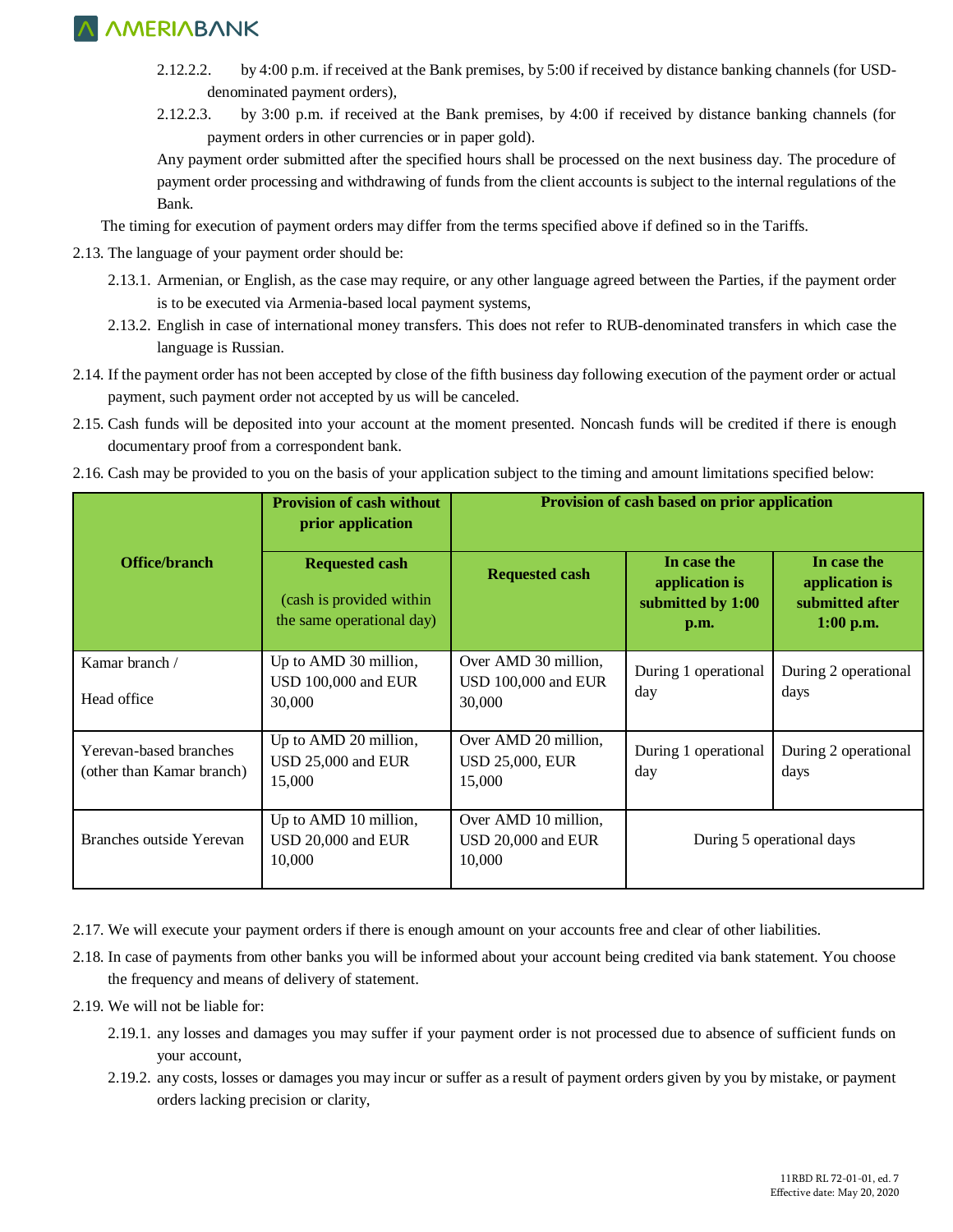- 2.12.2.2. by 4:00 p.m. if received at the Bank premises, by 5:00 if received by distance banking channels (for USDdenominated payment orders),
- 2.12.2.3. by 3:00 p.m. if received at the Bank premises, by 4:00 if received by distance banking channels (for payment orders in other currencies or in paper gold).

Any payment order submitted after the specified hours shall be processed on the next business day. The procedure of payment order processing and withdrawing of funds from the client accounts is subject to the internal regulations of the Bank.

The timing for execution of payment orders may differ from the terms specified above if defined so in the Tariffs.

- 2.13. The language of your payment order should be:
	- 2.13.1. Armenian, or English, as the case may require, or any other language agreed between the Parties, if the payment order is to be executed via Armenia-based local payment systems,
	- 2.13.2. English in case of international money transfers. This does not refer to RUB-denominated transfers in which case the language is Russian.
- 2.14. If the payment order has not been accepted by close of the fifth business day following execution of the payment order or actual payment, such payment order not accepted by us will be canceled.
- 2.15. Cash funds will be deposited into your account at the moment presented. Noncash funds will be credited if there is enough documentary proof from a correspondent bank.
- 2.16. Cash may be provided to you on the basis of your application subject to the timing and amount limitations specified below:

|                                                     | <b>Provision of cash without</b><br>prior application                          | Provision of cash based on prior application             |                                                            |                                                                 |
|-----------------------------------------------------|--------------------------------------------------------------------------------|----------------------------------------------------------|------------------------------------------------------------|-----------------------------------------------------------------|
| Office/branch                                       | <b>Requested cash</b><br>(cash is provided within<br>the same operational day) | <b>Requested cash</b>                                    | In case the<br>application is<br>submitted by 1:00<br>p.m. | In case the<br>application is<br>submitted after<br>$1:00$ p.m. |
| Kamar branch /<br>Head office                       | Up to AMD 30 million,<br>USD 100,000 and EUR<br>30,000                         | Over AMD 30 million,<br>USD 100,000 and EUR<br>30,000    | During 1 operational<br>day                                | During 2 operational<br>days                                    |
| Yerevan-based branches<br>(other than Kamar branch) | Up to AMD 20 million,<br>USD 25,000 and EUR<br>15,000                          | Over AMD 20 million,<br><b>USD 25,000, EUR</b><br>15,000 | During 1 operational<br>day                                | During 2 operational<br>days                                    |
| Branches outside Yerevan                            | Up to AMD 10 million,<br>USD 20,000 and EUR<br>10,000                          | Over AMD 10 million,<br>USD 20,000 and EUR<br>10,000     | During 5 operational days                                  |                                                                 |

- 2.17. We will execute your payment orders if there is enough amount on your accounts free and clear of other liabilities.
- 2.18. In case of payments from other banks you will be informed about your account being credited via bank statement. You choose the frequency and means of delivery of statement.
- 2.19. We will not be liable for:
	- 2.19.1. any losses and damages you may suffer if your payment order is not processed due to absence of sufficient funds on your account,
	- 2.19.2. any costs, losses or damages you may incur or suffer as a result of payment orders given by you by mistake, or payment orders lacking precision or clarity,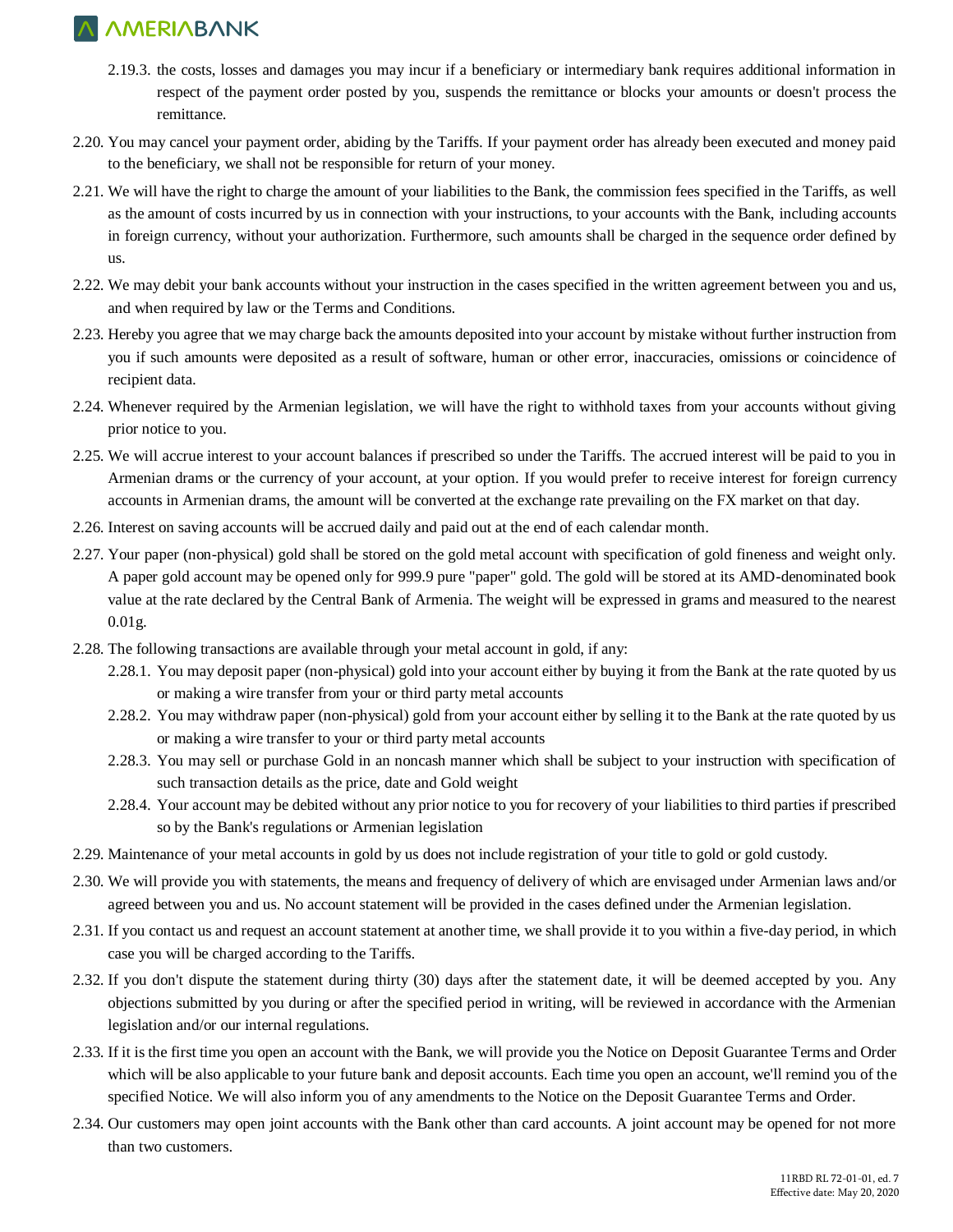- 2.19.3. the costs, losses and damages you may incur if a beneficiary or intermediary bank requires additional information in respect of the payment order posted by you, suspends the remittance or blocks your amounts or doesn't process the remittance.
- 2.20. You may cancel your payment order, abiding by the Tariffs. If your payment order has already been executed and money paid to the beneficiary, we shall not be responsible for return of your money.
- 2.21. We will have the right to charge the amount of your liabilities to the Bank, the commission fees specified in the Tariffs, as well as the amount of costs incurred by us in connection with your instructions, to your accounts with the Bank, including accounts in foreign currency, without your authorization. Furthermore, such amounts shall be charged in the sequence order defined by us.
- 2.22. We may debit your bank accounts without your instruction in the cases specified in the written agreement between you and us, and when required by law or the Terms and Conditions.
- 2.23. Hereby you agree that we may charge back the amounts deposited into your account by mistake without further instruction from you if such amounts were deposited as a result of software, human or other error, inaccuracies, omissions or coincidence of recipient data.
- 2.24. Whenever required by the Armenian legislation, we will have the right to withhold taxes from your accounts without giving prior notice to you.
- 2.25. We will accrue interest to your account balances if prescribed so under the Tariffs. The accrued interest will be paid to you in Armenian drams or the currency of your account, at your option. If you would prefer to receive interest for foreign currency accounts in Armenian drams, the amount will be converted at the exchange rate prevailing on the FX market on that day.
- 2.26. Interest on saving accounts will be accrued daily and paid out at the end of each calendar month.
- 2.27. Your paper (non-physical) gold shall be stored on the gold metal account with specification of gold fineness and weight only. A paper gold account may be opened only for 999.9 pure "paper" gold. The gold will be stored at its AMD-denominated book value at the rate declared by the Central Bank of Armenia. The weight will be expressed in grams and measured to the nearest 0.01g.
- 2.28. The following transactions are available through your metal account in gold, if any:
	- 2.28.1. You may deposit paper (non-physical) gold into your account either by buying it from the Bank at the rate quoted by us or making a wire transfer from your or third party metal accounts
	- 2.28.2. You may withdraw paper (non-physical) gold from your account either by selling it to the Bank at the rate quoted by us or making a wire transfer to your or third party metal accounts
	- 2.28.3. You may sell or purchase Gold in an noncash manner which shall be subject to your instruction with specification of such transaction details as the price, date and Gold weight
	- 2.28.4. Your account may be debited without any prior notice to you for recovery of your liabilities to third parties if prescribed so by the Bank's regulations or Armenian legislation
- 2.29. Maintenance of your metal accounts in gold by us does not include registration of your title to gold or gold custody.
- 2.30. We will provide you with statements, the means and frequency of delivery of which are envisaged under Armenian laws and/or agreed between you and us. No account statement will be provided in the cases defined under the Armenian legislation.
- 2.31. If you contact us and request an account statement at another time, we shall provide it to you within a five-day period, in which case you will be charged according to the Tariffs.
- 2.32. If you don't dispute the statement during thirty (30) days after the statement date, it will be deemed accepted by you. Any objections submitted by you during or after the specified period in writing, will be reviewed in accordance with the Armenian legislation and/or our internal regulations.
- 2.33. If it is the first time you open an account with the Bank, we will provide you the Notice on Deposit Guarantee Terms and Order which will be also applicable to your future bank and deposit accounts. Each time you open an account, we'll remind you of the specified Notice. We will also inform you of any amendments to the Notice on the Deposit Guarantee Terms and Order.
- 2.34. Our customers may open joint accounts with the Bank other than card accounts. A joint account may be opened for not more than two customers.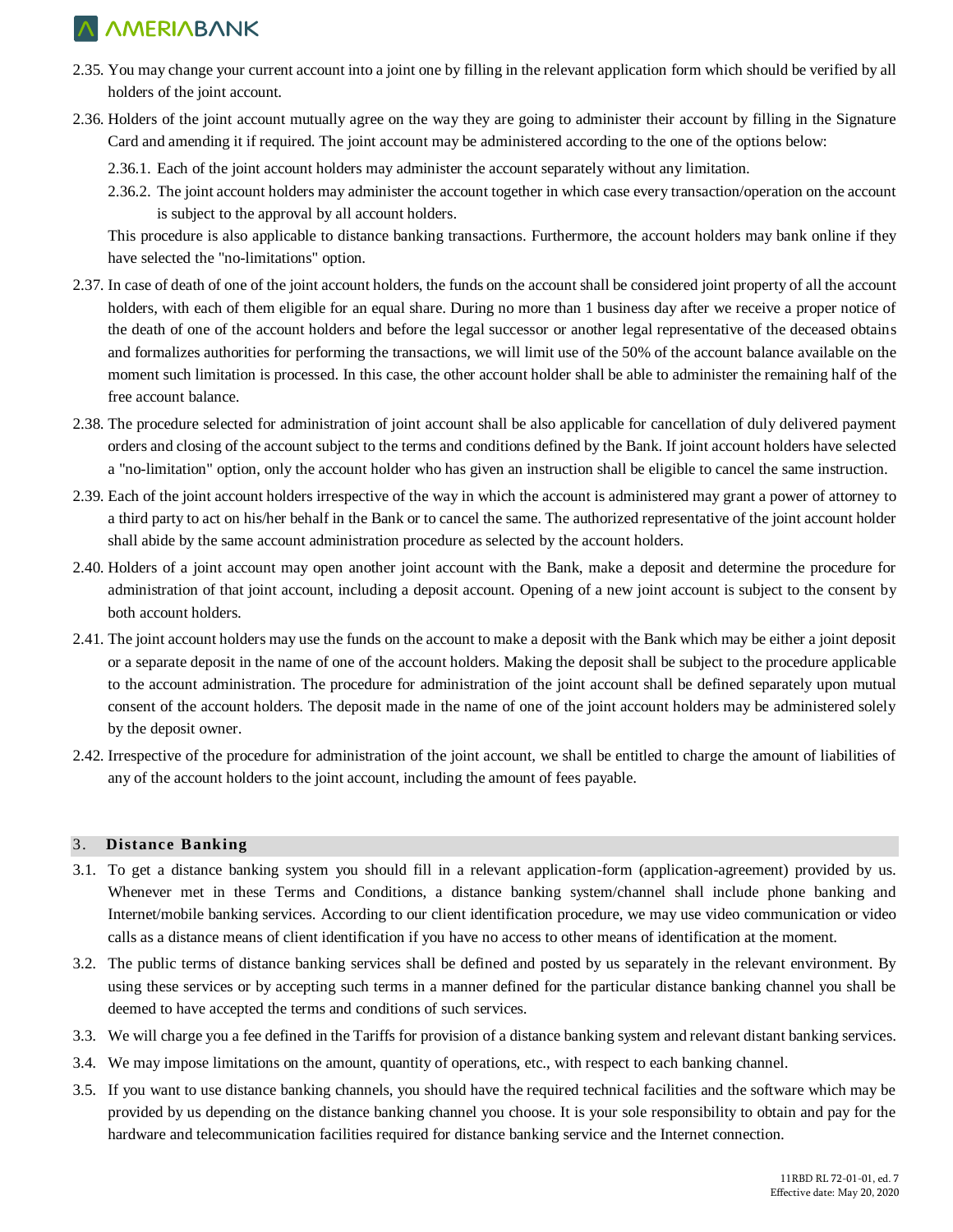- 2.35. You may change your current account into a joint one by filling in the relevant application form which should be verified by all holders of the joint account.
- 2.36. Holders of the joint account mutually agree on the way they are going to administer their account by filling in the Signature Card and amending it if required. The joint account may be administered according to the one of the options below:
	- 2.36.1. Each of the joint account holders may administer the account separately without any limitation.
	- 2.36.2. The joint account holders may administer the account together in which case every transaction/operation on the account is subject to the approval by all account holders.

This procedure is also applicable to distance banking transactions. Furthermore, the account holders may bank online if they have selected the "no-limitations" option.

- 2.37. In case of death of one of the joint account holders, the funds on the account shall be considered joint property of all the account holders, with each of them eligible for an equal share. During no more than 1 business day after we receive a proper notice of the death of one of the account holders and before the legal successor or another legal representative of the deceased obtains and formalizes authorities for performing the transactions, we will limit use of the 50% of the account balance available on the moment such limitation is processed. In this case, the other account holder shall be able to administer the remaining half of the free account balance.
- 2.38. The procedure selected for administration of joint account shall be also applicable for cancellation of duly delivered payment orders and closing of the account subject to the terms and conditions defined by the Bank. If joint account holders have selected a "no-limitation" option, only the account holder who has given an instruction shall be eligible to cancel the same instruction.
- 2.39. Each of the joint account holders irrespective of the way in which the account is administered may grant a power of attorney to a third party to act on his/her behalf in the Bank or to cancel the same. The authorized representative of the joint account holder shall abide by the same account administration procedure as selected by the account holders.
- 2.40. Holders of a joint account may open another joint account with the Bank, make a deposit and determine the procedure for administration of that joint account, including a deposit account. Opening of a new joint account is subject to the consent by both account holders.
- 2.41. The joint account holders may use the funds on the account to make a deposit with the Bank which may be either a joint deposit or a separate deposit in the name of one of the account holders. Making the deposit shall be subject to the procedure applicable to the account administration. The procedure for administration of the joint account shall be defined separately upon mutual consent of the account holders. The deposit made in the name of one of the joint account holders may be administered solely by the deposit owner.
- 2.42. Irrespective of the procedure for administration of the joint account, we shall be entitled to charge the amount of liabilities of any of the account holders to the joint account, including the amount of fees payable.

### 3. **Distance Banking**

- 3.1. To get a distance banking system you should fill in a relevant application-form (application-agreement) provided by us. Whenever met in these Terms and Conditions, a distance banking system/channel shall include phone banking and Internet/mobile banking services. According to our client identification procedure, we may use video communication or video calls as a distance means of client identification if you have no access to other means of identification at the moment.
- 3.2. The public terms of distance banking services shall be defined and posted by us separately in the relevant environment. By using these services or by accepting such terms in a manner defined for the particular distance banking channel you shall be deemed to have accepted the terms and conditions of such services.
- 3.3. We will charge you a fee defined in the Tariffs for provision of a distance banking system and relevant distant banking services.
- 3.4. We may impose limitations on the amount, quantity of operations, etc., with respect to each banking channel.
- 3.5. If you want to use distance banking channels, you should have the required technical facilities and the software which may be provided by us depending on the distance banking channel you choose. It is your sole responsibility to obtain and pay for the hardware and telecommunication facilities required for distance banking service and the Internet connection.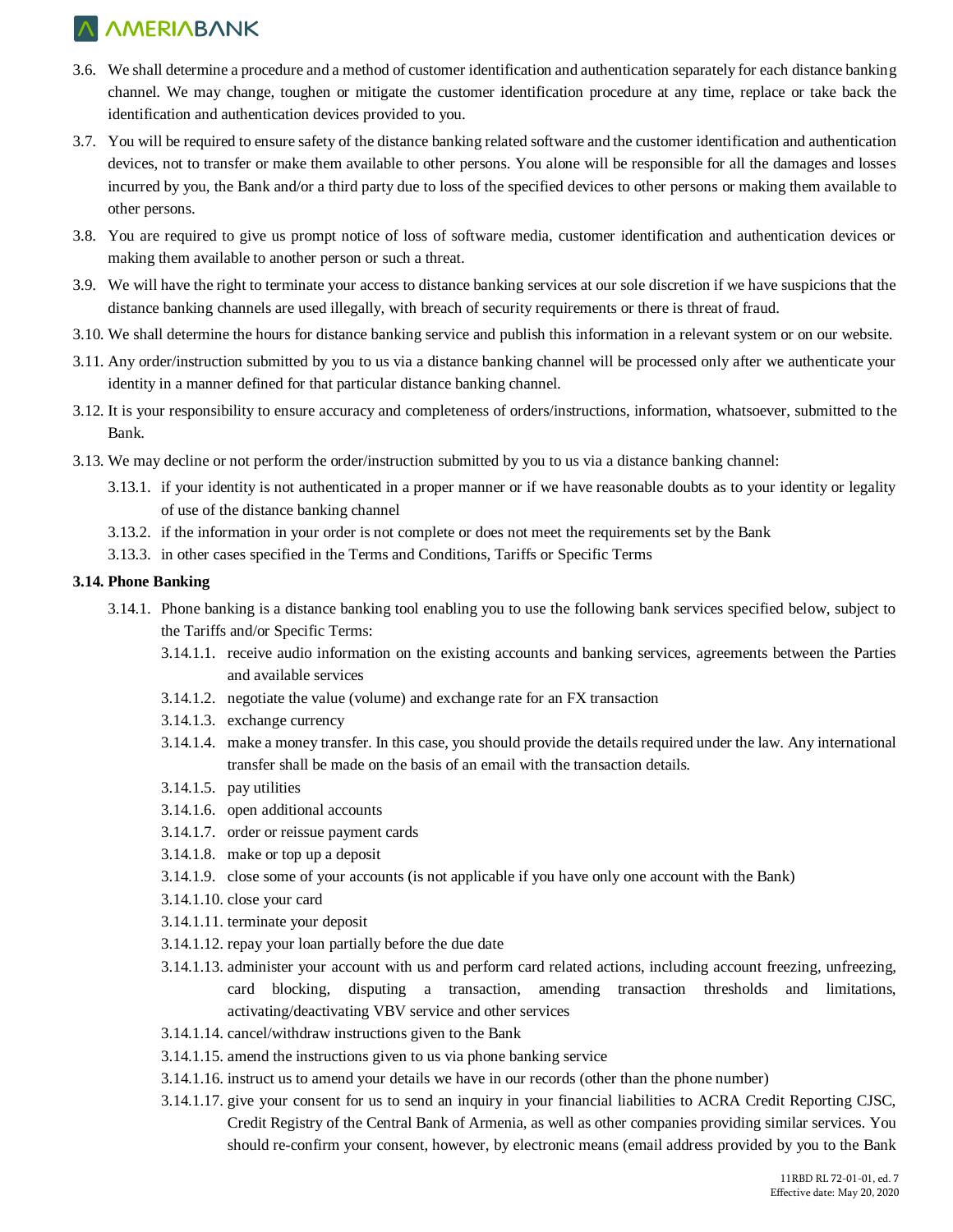- 3.6. We shall determine a procedure and a method of customer identification and authentication separately for each distance banking channel. We may change, toughen or mitigate the customer identification procedure at any time, replace or take back the identification and authentication devices provided to you.
- 3.7. You will be required to ensure safety of the distance banking related software and the customer identification and authentication devices, not to transfer or make them available to other persons. You alone will be responsible for all the damages and losses incurred by you, the Bank and/or a third party due to loss of the specified devices to other persons or making them available to other persons.
- 3.8. You are required to give us prompt notice of loss of software media, customer identification and authentication devices or making them available to another person or such a threat.
- 3.9. We will have the right to terminate your access to distance banking services at our sole discretion if we have suspicions that the distance banking channels are used illegally, with breach of security requirements or there is threat of fraud.
- 3.10. We shall determine the hours for distance banking service and publish this information in a relevant system or on our website.
- 3.11. Any order/instruction submitted by you to us via a distance banking channel will be processed only after we authenticate your identity in a manner defined for that particular distance banking channel.
- 3.12. It is your responsibility to ensure accuracy and completeness of orders/instructions, information, whatsoever, submitted to the Bank.
- 3.13. We may decline or not perform the order/instruction submitted by you to us via a distance banking channel:
	- 3.13.1. if your identity is not authenticated in a proper manner or if we have reasonable doubts as to your identity or legality of use of the distance banking channel
	- 3.13.2. if the information in your order is not complete or does not meet the requirements set by the Bank
	- 3.13.3. in other cases specified in the Terms and Conditions, Tariffs or Specific Terms

#### **3.14. Phone Banking**

- 3.14.1. Phone banking is a distance banking tool enabling you to use the following bank services specified below, subject to the Tariffs and/or Specific Terms:
	- 3.14.1.1. receive audio information on the existing accounts and banking services, agreements between the Parties and available services
	- 3.14.1.2. negotiate the value (volume) and exchange rate for an FX transaction
	- 3.14.1.3. exchange currency
	- 3.14.1.4. make a money transfer. In this case, you should provide the details required under the law. Any international transfer shall be made on the basis of an email with the transaction details.
	- 3.14.1.5. pay utilities
	- 3.14.1.6. open additional accounts
	- 3.14.1.7. order or reissue payment cards
	- 3.14.1.8. make or top up a deposit
	- 3.14.1.9. close some of your accounts (is not applicable if you have only one account with the Bank)
	- 3.14.1.10. close your card
	- 3.14.1.11. terminate your deposit
	- 3.14.1.12. repay your loan partially before the due date
	- 3.14.1.13. administer your account with us and perform card related actions, including account freezing, unfreezing, card blocking, disputing a transaction, amending transaction thresholds and limitations, activating/deactivating VBV service and other services
	- 3.14.1.14. cancel/withdraw instructions given to the Bank
	- 3.14.1.15. amend the instructions given to us via phone banking service
	- 3.14.1.16. instruct us to amend your details we have in our records (other than the phone number)
	- 3.14.1.17. give your consent for us to send an inquiry in your financial liabilities to ACRA Credit Reporting CJSC, Credit Registry of the Central Bank of Armenia, as well as other companies providing similar services. You should re-confirm your consent, however, by electronic means (email address provided by you to the Bank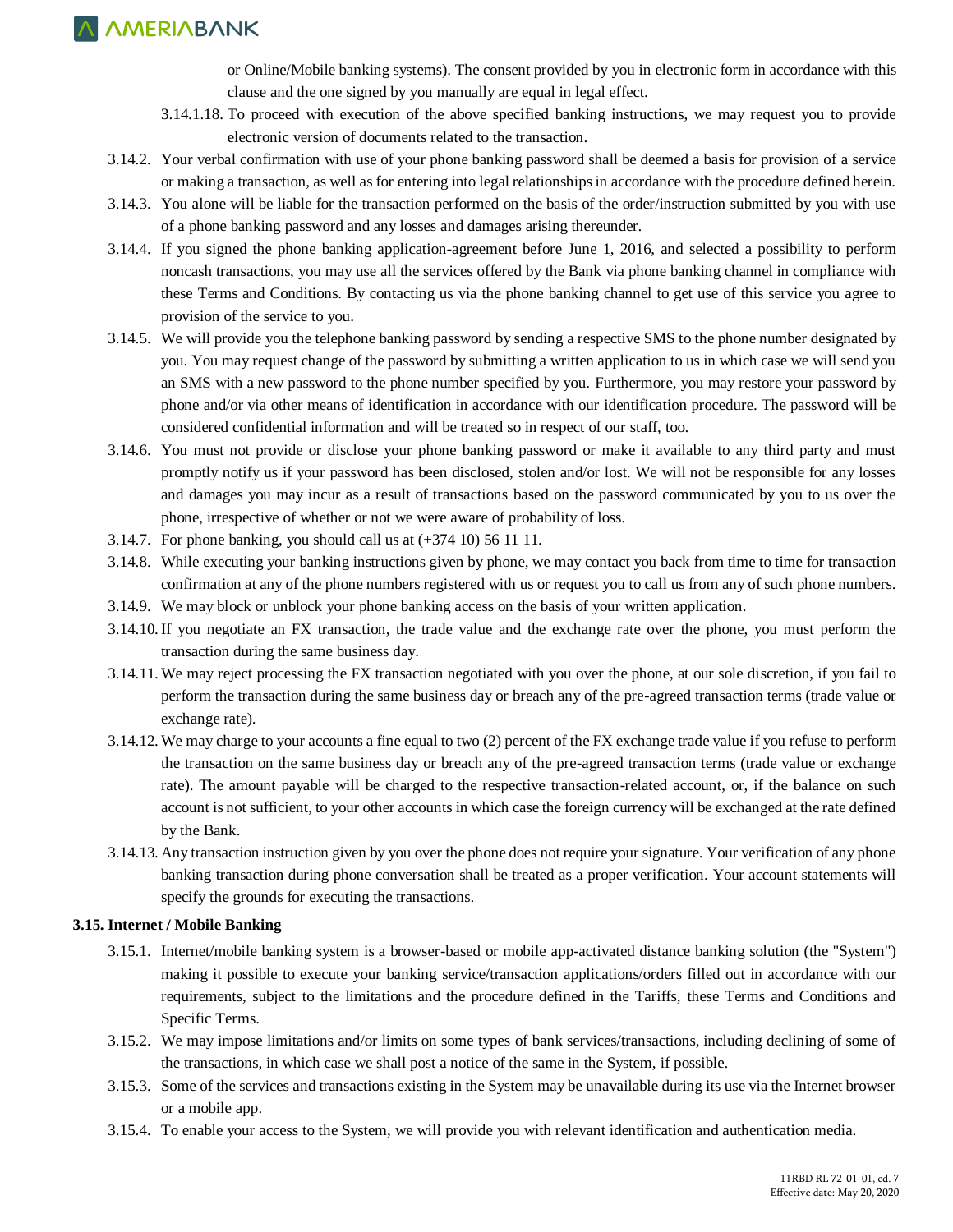or Online/Mobile banking systems). The consent provided by you in electronic form in accordance with this clause and the one signed by you manually are equal in legal effect.

- 3.14.1.18. To proceed with execution of the above specified banking instructions, we may request you to provide electronic version of documents related to the transaction.
- 3.14.2. Your verbal confirmation with use of your phone banking password shall be deemed a basis for provision of a service or making a transaction, as well as for entering into legal relationships in accordance with the procedure defined herein.
- 3.14.3. You alone will be liable for the transaction performed on the basis of the order/instruction submitted by you with use of a phone banking password and any losses and damages arising thereunder.
- 3.14.4. If you signed the phone banking application-agreement before June 1, 2016, and selected a possibility to perform noncash transactions, you may use all the services offered by the Bank via phone banking channel in compliance with these Terms and Conditions. By contacting us via the phone banking channel to get use of this service you agree to provision of the service to you.
- 3.14.5. We will provide you the telephone banking password by sending a respective SMS to the phone number designated by you. You may request change of the password by submitting a written application to us in which case we will send you an SMS with a new password to the phone number specified by you. Furthermore, you may restore your password by phone and/or via other means of identification in accordance with our identification procedure. The password will be considered confidential information and will be treated so in respect of our staff, too.
- 3.14.6. You must not provide or disclose your phone banking password or make it available to any third party and must promptly notify us if your password has been disclosed, stolen and/or lost. We will not be responsible for any losses and damages you may incur as a result of transactions based on the password communicated by you to us over the phone, irrespective of whether or not we were aware of probability of loss.
- 3.14.7. For phone banking, you should call us at (+374 10) 56 11 11.
- 3.14.8. While executing your banking instructions given by phone, we may contact you back from time to time for transaction confirmation at any of the phone numbers registered with us or request you to call us from any of such phone numbers.
- 3.14.9. We may block or unblock your phone banking access on the basis of your written application.
- 3.14.10.If you negotiate an FX transaction, the trade value and the exchange rate over the phone, you must perform the transaction during the same business day.
- 3.14.11. We may reject processing the FX transaction negotiated with you over the phone, at our sole discretion, if you fail to perform the transaction during the same business day or breach any of the pre-agreed transaction terms (trade value or exchange rate).
- 3.14.12. We may charge to your accounts a fine equal to two (2) percent of the FX exchange trade value if you refuse to perform the transaction on the same business day or breach any of the pre-agreed transaction terms (trade value or exchange rate). The amount payable will be charged to the respective transaction-related account, or, if the balance on such account is not sufficient, to your other accounts in which case the foreign currency will be exchanged at the rate defined by the Bank.
- 3.14.13. Any transaction instruction given by you over the phone does not require your signature. Your verification of any phone banking transaction during phone conversation shall be treated as a proper verification. Your account statements will specify the grounds for executing the transactions.

#### **3.15. Internet / Mobile Banking**

- 3.15.1. Internet/mobile banking system is a browser-based or mobile app-activated distance banking solution (the "System") making it possible to execute your banking service/transaction applications/orders filled out in accordance with our requirements, subject to the limitations and the procedure defined in the Tariffs, these Terms and Conditions and Specific Terms.
- 3.15.2. We may impose limitations and/or limits on some types of bank services/transactions, including declining of some of the transactions, in which case we shall post a notice of the same in the System, if possible.
- 3.15.3. Some of the services and transactions existing in the System may be unavailable during its use via the Internet browser or a mobile app.
- 3.15.4. To enable your access to the System, we will provide you with relevant identification and authentication media.